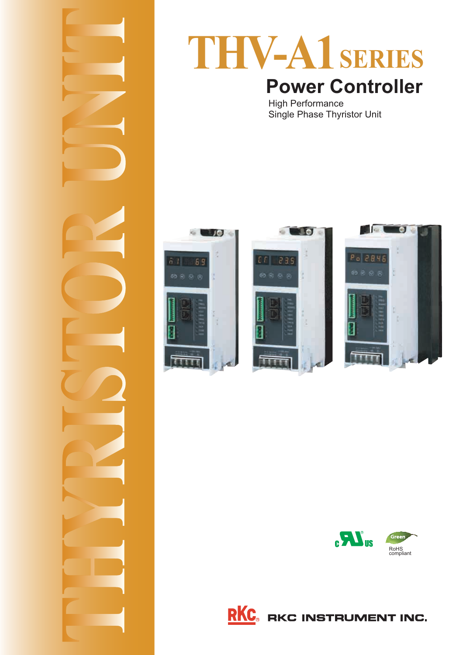

# **THV-A1 SERIES Power Controller**

س<br>Single Phase Thyri Single Phase Thyristor Unit









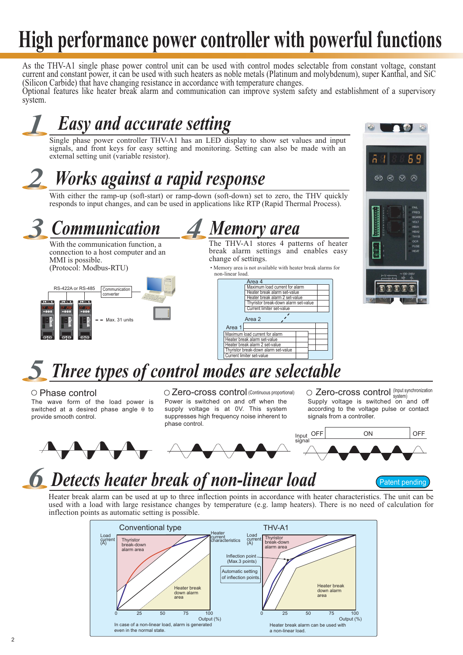# **High performance power controller with powerful functions**

As the THV-A1 single phase power control unit can be used with control modes selectable from constant voltage, constant current and constant power, it can be used with such heaters as noble metals (Platinum and molybdenum), super Kanthal, and SiC (Silicon Carbide) that have changing resistance in accordance with temperature changes.

Optional features like heater break alarm and communication can improve system safety and establishment of a supervisory system.

# *1 Easy and accurate setting*

Single phase power controller THV-A1 has an LED display to show set values and input signals, and front keys for easy setting and monitoring. Setting can also be made with an external setting unit (variable resistor).

# *2 Works against a rapid response*

With either the ramp-up (soft-start) or ramp-down (soft-down) set to zero, the THV quickly responds to input changes, and can be used in applications like RTP (Rapid Thermal Process).

*Communication Memory area* 3 <u>*Communication*</u> 4

With the communication function, a connection to a host computer and an MMI is possible. (Protocol: Modbus-RTU)



The THV-A1 stores 4 patterns of heater break alarm settings and enables easy change of settings.

• Memory area is not available with heater break alarms for non-linear load.





# *5 Three types of control modes are selectable*

switched at a desired phase angle θ to<br>provide smooth control provide smooth control.

supply voltage is at 0V. This system suppresses high frequency noise inherent to phase control

 $\bigcirc$  Phase control  $\bigcirc$  Zero-cross control (Continuous proportional)  $\bigcirc$  Zero-cross control (Input synchronization  $\bigcirc$  Zero-cross control (Input synchronization  $\bigcirc$  Zero-cross control system) according to the voltage pulse or contact signals from a controller. signals from a controller.



# *Detects heater break of non-linear load 6*

**Patent pendinc** Patent pending

Heater break alarm can be used at up to three inflection points in accordance with heater characteristics. The unit can be used with a load with large resistance changes by temperature (e.g. lamp heaters). There is no need of calculation for inflection points as automatic setting is possible.

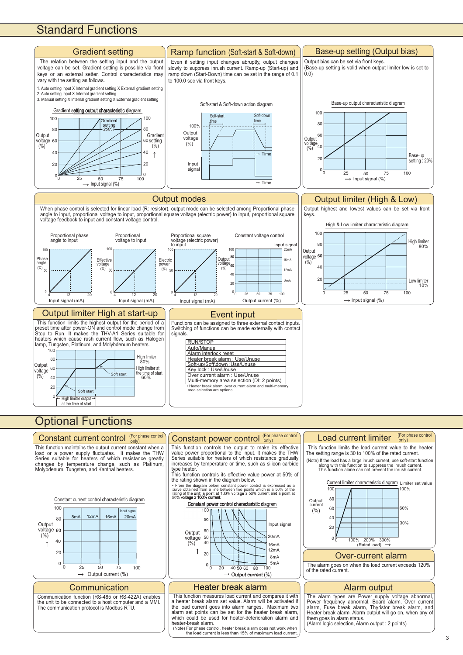## **Standard Functions**











the unit to be connected to a host computer and a MMI.<br>The communication protocol is Modbus RTU.

### This function controls the output to make i Constant power control (For phase control

value power proportional to the input. It makes the THW<br>Series suitable for heaters of which resistance gradually increases by temperature or time, such as silicon carbide type heater.<br>This function controls its effective value power at 50% of

This function controls its effective value power at 50% of the rating shown in the diagram below. the rating shown in the anagram service.

curve obtained from a line between two points which is a 50% of the<br>rating of the unit: a point at 100% voltage x 50% current and a point at<br>50% voltage x 100% current.



a heater break alarm set value. Alarm will be activated it a heater break alarm set value. Alarm will be activated in alarm set points can be set for the heater break alarm,<br>which could be used for heater-deterioration alarm and<br>heater-break alarm n function (RS-485 or RS-422A) enables This function measures load current and compares it with The alarm types are Power supply

(Note) For phase control, heater break alarm does not work when the load current is less than 15% of maximum load current.

## (For phase control

The setting range is 30 to 100% of the rated current  $T_{\rm{th}}$  to  $T_{\rm{th}}$  to  $T_{\rm{th}}$  to 100% of the rated current. The rate decay of the rated current. function limits the load current value to

along with this function to suppress the inrush current.<br>This function alone can not prevent the inrush current.



The alarm goes on when the load current exceeds 120% of the rated current.

Power frequency abnormal, Board alarm, Over current<br>alarm, Fuse break alarm, Thyristor break alarm, and<br>Heater break alarm. Alarm output will go on, when any of<br>them goes in alarm status Alarm logic selection, Alarm output : 2 points)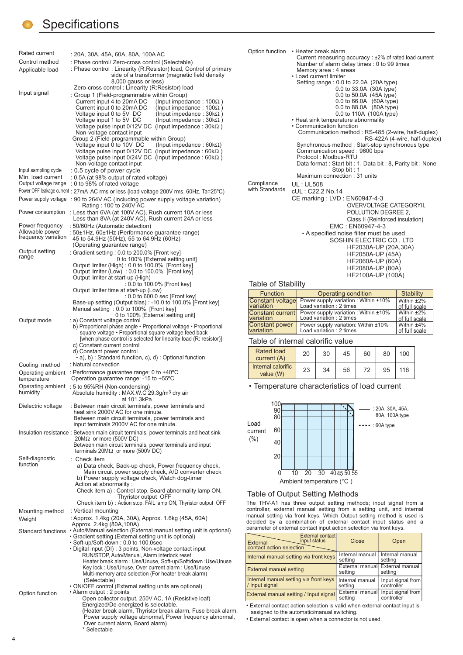## **Specifications**

| Rated current                             | : 20A, 30A, 45A, 60A, 80A, 100A AC                                                                                                  |
|-------------------------------------------|-------------------------------------------------------------------------------------------------------------------------------------|
| Control method                            | : Phase control/ Zero-cross control (Selectable)                                                                                    |
| Applicable load                           | : Phase control: Linearity (R:Resistor) load, Control of primary                                                                    |
|                                           | side of a transformer (magnetic field density<br>8,000 gauss or less)                                                               |
|                                           | Zero-cross control : Linearity (R:Resistor) load                                                                                    |
| Input signal                              | : Group 1 (Field-programmable within Group)<br>Current input 4 to 20mA DC                                                           |
|                                           | (Input impedance : 100 $\Omega$ )<br>Current input 0 to 20mA DC<br>(Input impedance : $100\Omega$ )                                 |
|                                           | (Input impedance : $30k\Omega$ )<br>Voltage input 0 to 5V DC                                                                        |
|                                           | Voltage input 1 to 5V DC<br>(Input impedance : $30k\Omega$ )<br>Voltage pulse input $0/12V$ DC (Input impedance : $30k\Omega$ )     |
|                                           | Non-voltage contact input                                                                                                           |
|                                           | Group 2 (Field-programmable within Group)                                                                                           |
|                                           | Voltage input 0 to 10V DC<br>(Input impedance : 60k $\Omega$ )<br>Voltage pulse input 0/12V DC<br>(Input impedance : 60k $\Omega$ ) |
|                                           | Voltage pulse input 0/24V DC<br>(Input impedance : 60k $\Omega$ )                                                                   |
|                                           | Non-voltage contact input                                                                                                           |
| Input sampling cycle<br>Min. load current | : 0.5 cycle of power cycle<br>: 0.5A (at 98% output of rated voltage)                                                               |
| Output voltage range                      | : 0 to 98% of rated voltage                                                                                                         |
|                                           | Power OFF leakage current : 27mA AC rms or less (load voltage 200V rms, 60Hz, Ta=25°C)                                              |
| Power supply voltage                      | : 90 to 264V AC (Including power supply voltage variation)                                                                          |
| Power consumption                         | Rating : 100 to 240V AC<br>: Less than 6VA (at 100V AC), Rush current 10A or less                                                   |
|                                           | Less than 8VA (at 240V AC), Rush current 24A or less                                                                                |
| Power frequency                           | : 50/60Hz (Automatic detection)                                                                                                     |
| Allowable power<br>frequency variation    | : 50±1Hz, 60±1Hz (Performance guarantee range)<br>45 to 54.9Hz (50Hz), 55 to 64.9Hz (60Hz)                                          |
|                                           | (Operating guarantee range)                                                                                                         |
| Output setting                            | : Gradient setting : 0.0 to 200.0% [Front key]                                                                                      |
| range                                     | 0 to 100% [External setting unit]                                                                                                   |
|                                           | Output limiter (High) : 0.0 to 100.0% [Front key]<br>Output limiter (Low): 0.0 to 100.0% [Front key]                                |
|                                           | Output limiter at start-up (High)                                                                                                   |
|                                           | : 0.0 to 100.0% [Front key]<br>Output limiter time at start-up (Low)                                                                |
|                                           | : 0.0 to 600.0 sec [Front key]                                                                                                      |
|                                           | Base-up setting (Output bias) : -10.0 to 100.0% [Front key]<br>Manual setting: 0.0 to 100% [Front key]                              |
|                                           | 0 to 100% [External setting unit]                                                                                                   |
| Output mode                               | : a) Constant voltage control                                                                                                       |
|                                           | b) Proportional phase angle • Proportional voltage • Proportional<br>square voltage • Proportional square voltage feed back         |
|                                           | [when phase control is selected for linearity load (R: resistor)]                                                                   |
|                                           | c) Constant current control<br>d) Constant power control                                                                            |
|                                           | • a), b) : Standard function, c), d) : Optional function                                                                            |
| Cooling method                            | : Natural convection                                                                                                                |
| Operating ambient                         | : Performance guarantee range: 0 to $+40^{\circ}$ C<br>Operation guarantee range: -15 to +55°C                                      |
| temperature                               | Operating ambient : 5 to 95%RH (Non-condensing)                                                                                     |
| humidity                                  | Absolute humidity : MAX.W.C 29.3g/m <sup>3</sup> dry air                                                                            |
|                                           | at 101.3kPa                                                                                                                         |
| Dielectric voltage                        | : Between main circuit terminals, power terminals and<br>heat sink 2000V AC for one minute.                                         |
|                                           | Between main circuit terminals, power terminals and                                                                                 |
|                                           | input terminals 2000V AC for one minute.                                                                                            |
|                                           | Insulation resistance: Between main circuit terminals, power terminals and heat sink<br>$20\text{M}\Omega$ or more (500V DC)        |
|                                           | Between main circuit terminals, power terminals and input                                                                           |
|                                           | terminals $20M\Omega$ or more (500V DC)                                                                                             |
| Self-diagnostic<br>function               | : Check item                                                                                                                        |
|                                           | a) Data check, Back-up check, Power frequency check,<br>Main circuit power supply check, A/D converter check                        |
|                                           | b) Power supply voltage check, Watch dog-timer                                                                                      |
|                                           | Action at abnormality:<br>Check item a): Control stop, Board abnormality lamp ON,                                                   |
|                                           | Thyristor output OFF                                                                                                                |
|                                           | Check item b): Action stop, FAIL lamp ON, Thyristor output OFF                                                                      |
| Mounting method                           | : Vertical mounting                                                                                                                 |
| Weight                                    | : Approx. 1.4kg (20A, 30A), Approx. 1.6kg (45A, 60A)<br>Approx. 2.4kg (80A, 100A)                                                   |
|                                           | Standard functions • Auto/Manual selection (External manual setting unit is optional)                                               |
|                                           | • Gradient setting (External setting unit is optional)<br>• Soft-up/Soft-down: 0.0 to 100.0sec                                      |
|                                           | • Digital input (DI) : 3 points, Non-voltage contact input                                                                          |
|                                           | RUN/STOP, Auto/Manual, Alarm interlock reset                                                                                        |
|                                           | Heater break alarm: Use/Unuse, Soft-up/Soft\down: Use/Unuse<br>Key lock: Use/Unuse, Over current alarm: Use/Unuse                   |
|                                           | Multi-memory area selection (For heater break alarm)                                                                                |
|                                           | (Selectable)<br>• ON/OFF control (External setting units are optional)                                                              |
| Option function                           | • Alarm output : 2 points                                                                                                           |
|                                           | Open collector output, 250V AC, 1A (Resistive loaf)<br>Energized/De-energized is selectable.                                        |
|                                           | (Heater break alarm, Thyristor break alarm, Fuse break alarm,                                                                       |
|                                           | Power supply voltage abnormal, Power frequency abnormal,                                                                            |
|                                           | Over current alarm, Board alarm)                                                                                                    |

\* Selectable  $\overline{\phantom{a}}$ 

| Option function | • Heater break alarm<br>Current measuring accuracy: ±2% of rated load current<br>Number of alarm delay times : 0 to 99 times |  |  |  |  |  |
|-----------------|------------------------------------------------------------------------------------------------------------------------------|--|--|--|--|--|
|                 | Memory area: 4 areas                                                                                                         |  |  |  |  |  |
|                 | • Load current limiter                                                                                                       |  |  |  |  |  |
|                 | Setting range: 0.0 to 22.0A (20A type)                                                                                       |  |  |  |  |  |
|                 | 0.0 to 33.0A (30A type)                                                                                                      |  |  |  |  |  |
|                 | 0.0 to 50.0A (45A type)                                                                                                      |  |  |  |  |  |
|                 | 0.0 to 66.0A (60A type)                                                                                                      |  |  |  |  |  |
|                 | 0.0 to 88.0A (80A type)                                                                                                      |  |  |  |  |  |
|                 | 0.0 to 110A (100A type)                                                                                                      |  |  |  |  |  |
|                 | • Heat sink temperature abnormality                                                                                          |  |  |  |  |  |
|                 | • Communication function                                                                                                     |  |  |  |  |  |
|                 | Communication method: RS-485 (2-wire, half-duplex)<br>RS-422A (4-wire, half-duplex)                                          |  |  |  |  |  |
|                 | Synchronous method: Start-stop synchronous type                                                                              |  |  |  |  |  |
|                 | Communication speed: 9600 bps                                                                                                |  |  |  |  |  |
|                 | Protocol: Modbus-RTU                                                                                                         |  |  |  |  |  |
|                 | Data format: Start bit: 1, Data bit: 8, Parity bit: None                                                                     |  |  |  |  |  |
|                 | Stop bit: 1                                                                                                                  |  |  |  |  |  |
|                 | Maximum connection: 31 units                                                                                                 |  |  |  |  |  |
| Compliance      | <b>UL: UL508</b>                                                                                                             |  |  |  |  |  |
| with Standards  | cUL: C22.2 No.14                                                                                                             |  |  |  |  |  |
|                 | CE marking: LVD: EN60947-4-3                                                                                                 |  |  |  |  |  |
|                 | OVERVOLTAGE CATEGORYII,                                                                                                      |  |  |  |  |  |
|                 | POLLUTION DEGREE 2,                                                                                                          |  |  |  |  |  |
|                 | Class II (Reinforced insulation)                                                                                             |  |  |  |  |  |
|                 | EMC: EN60947-4-3                                                                                                             |  |  |  |  |  |
|                 | • A specified noise filter must be used                                                                                      |  |  |  |  |  |
|                 | SOSHIN ELECTRIC CO., LTD                                                                                                     |  |  |  |  |  |
|                 | HF2030A-UP (20A,30A)                                                                                                         |  |  |  |  |  |
|                 | HF2050A-UP (45A)                                                                                                             |  |  |  |  |  |
|                 |                                                                                                                              |  |  |  |  |  |
|                 | HF2060A-UP (60A)                                                                                                             |  |  |  |  |  |

 HF2060A-UP (60A) HF2100A-UP (100A)

### $\sim$  100  $\sim$  100  $\sim$  100  $\sim$  100  $\sim$  100  $\sim$  100  $\sim$  100  $\sim$  100  $\sim$  100  $\sim$  100  $\sim$  100  $\sim$  100  $\sim$  100  $\sim$  100  $\sim$  100  $\sim$  100  $\sim$  100  $\sim$  100  $\sim$  100  $\sim$  100  $\sim$  100  $\sim$  100  $\sim$  100  $\sim$  100  $\sim$

| <b>Function</b>         | Operating condition                  | Stability     |
|-------------------------|--------------------------------------|---------------|
| <b>Constant voltage</b> | Power supply variation: Within ±10%  | Within $±2\%$ |
| variation               | Load variation: 2 times              | of full scale |
| <b>Constant current</b> | Power supply variation : Within ±10% | Within $±2\%$ |
| <b>variation</b>        | Load variation : 2 times             | of full scale |
| <b>Constant power</b>   | Power supply variation: Within ±10%  | Within $±4\%$ |
| variation               | Load variation: 2 times              | of full scale |
|                         |                                      |               |

| Rated load<br>current (A)       | 20 | 30 | 45 | 60 | 80 | 100 |
|---------------------------------|----|----|----|----|----|-----|
| Internal calorific<br>value (W) | 23 | 34 | 56 | 72 | 95 | 116 |

• Temperature characteristics of load current



The THV-A1 has three output setting methods; input signal from a<br>The THV-A1 has three output setting methods; input signal from a<br>controller external manual setting from a setting unit and internal manual setting via front keys. Which Output setting method is used is  $\frac{1}{2}$  decided by a combination of external contact input status and a decided by a commitment of external contact input status and an<br>narameter of external contact input action selection via front keys  $p_{\text{max}} = p_{\text{max}} + p_{\text{max}} + p_{\text{max}}$ 

| External contact<br>input status<br>External<br>contact action selection | Close                      | Open                                       |
|--------------------------------------------------------------------------|----------------------------|--------------------------------------------|
| Internal manual setting via front keys                                   | Internal manual<br>setting | Internal manual<br>setting                 |
| <b>External manual setting</b>                                           | setting                    | External manual External manual<br>setting |
| Internal manual setting via front keys<br>/ Input signal                 | Internal manual<br>setting | Input signal from<br>controller            |
| External manual setting / Input signal                                   | External manual<br>setting | Input signal from<br>controller            |

controller in the controller of the controller of the controller of the controller of the controller of the controller of the controller of the controller of the controller of the controller of the controller of the contro assigned to the automatic/manual switching.

assigned to the automatic manual structure.<br>• External contact is onen when a connector is • External contact is open when a connector is not used.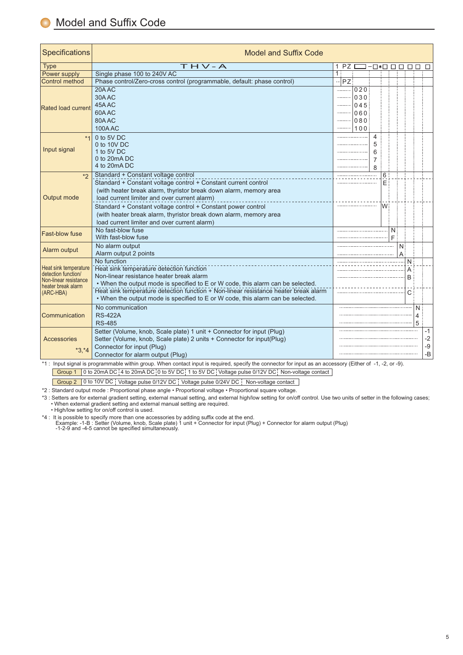| Specifications                                                                                           | <b>Model and Suffix Code</b>                                                                                                                                                                                                                                                                                                                                                                                    |    |                       |                                          |                       |             |                                        |        |                  |                          |                        |
|----------------------------------------------------------------------------------------------------------|-----------------------------------------------------------------------------------------------------------------------------------------------------------------------------------------------------------------------------------------------------------------------------------------------------------------------------------------------------------------------------------------------------------------|----|-----------------------|------------------------------------------|-----------------------|-------------|----------------------------------------|--------|------------------|--------------------------|------------------------|
| <b>Type</b>                                                                                              | $THV - A$                                                                                                                                                                                                                                                                                                                                                                                                       | 1  | PZ                    |                                          |                       |             | $\neg \Box * \Box \Box \Box \Box \Box$ |        |                  |                          | □                      |
| Power supply                                                                                             | Single phase 100 to 240V AC                                                                                                                                                                                                                                                                                                                                                                                     | 1: |                       |                                          |                       |             |                                        |        |                  |                          |                        |
| <b>Control method</b>                                                                                    | Phase control/Zero-cross control (programmable, default: phase control)                                                                                                                                                                                                                                                                                                                                         |    | PZ:                   |                                          |                       |             |                                        |        |                  |                          |                        |
| <b>Rated load current</b>                                                                                | 20AAC<br>30AAC<br>45A AC<br>60AAC<br>80A AC<br><b>100AAC</b>                                                                                                                                                                                                                                                                                                                                                    |    | .<br><br><br><br><br> | 020<br>$030$<br>045<br>060<br>080<br>100 |                       |             |                                        |        |                  |                          |                        |
| $*1$<br>Input signal                                                                                     | 0 to 5V DC<br>0 to 10V DC<br>1 to 5V DC<br>0 to 20mA DC<br>4 to 20mA DC                                                                                                                                                                                                                                                                                                                                         |    |                       |                                          | 4<br>5<br>6<br>7<br>8 |             |                                        |        |                  |                          |                        |
| $*_{2}$<br>Output mode                                                                                   | Standard + Constant voltage control<br>Standard + Constant voltage control + Constant current control<br>(with heater break alarm, thyristor break down alarm, memory area<br>load current limiter and over current alarm)<br>Standard + Constant voltage control + Constant power control<br>(with heater break alarm, thyristor break down alarm, memory area<br>load current limiter and over current alarm) |    |                       |                                          |                       | 6<br>E<br>W |                                        |        |                  |                          |                        |
| <b>Fast-blow fuse</b>                                                                                    | No fast-blow fuse<br>With fast-blow fuse                                                                                                                                                                                                                                                                                                                                                                        |    |                       |                                          |                       |             | N<br>F                                 |        |                  |                          |                        |
| Alarm output                                                                                             | No alarm output<br>Alarm output 2 points                                                                                                                                                                                                                                                                                                                                                                        |    |                       |                                          |                       |             |                                        | N<br>А |                  |                          |                        |
| Heat sink temperature<br>detection function/<br>Non-linear resistance<br>heater break alarm<br>(ARC-HBA) | No function<br>Heat sink temperature detection function<br>Non-linear resistance heater break alarm<br>• When the output mode is specified to E or W code, this alarm can be selected.<br>Heat sink temperature detection function + Non-linear resistance heater break alarm<br>• When the output mode is specified to E or W code, this alarm can be selected.                                                |    |                       |                                          |                       |             |                                        |        | N<br>A<br>B<br>C |                          |                        |
| Communication                                                                                            | No communication<br><b>RS-422A</b><br><b>RS-485</b>                                                                                                                                                                                                                                                                                                                                                             |    |                       |                                          |                       |             |                                        |        |                  | N<br>$\overline{4}$<br>5 |                        |
| Accessories<br>$*3.*4$                                                                                   | Setter (Volume, knob, Scale plate) 1 unit + Connector for input (Plug)<br>Setter (Volume, knob, Scale plate) 2 units + Connector for input(Plug)<br>Connector for input (Plug)<br>Connector for alarm output (Plug)                                                                                                                                                                                             |    |                       |                                          |                       |             |                                        |        |                  |                          | -1<br>$-2$<br>-9<br>-B |

\*1 : Input signal is programmable within group. When contact input is required, specify the connector for input as an accessory (Either of -1, -2, or -9).

 $\frac{1}{10}$  : Input signal is programmable with  $\frac{1}{10}$  in  $\frac{1}{10}$  in  $\frac{1}{10}$  in  $\frac{1}{10}$ . <u>ever pulse contact its 20ma de publicació pulse of to 3V DC Non-voltage pulse of 2004 pulse contact 0 to 5V DC </u>

Group 2 0 to 10V DC Voltage pulse 0/12V DC Voltage pulse 0/24V DC Non-voltage contact

\*3 : Setters are for external gradient setting, and external manual setting, and external • When external gradient setting and external manual setting are required. \*3 : Setters are for external gradient setting, external manual setting, and external high/low setting for on/off control. Use two units of setter in the following cases;

• High/low setting for on/off control is used.

 $\star$ 4. It is noocible to one off control then one one

Example: -1-B : Setter (Volume, knob, Scale plate) 1 unit + Connector for input (Plug) + Connector for alarm output (Plug)<br>-1-2-9 and -4-5 cannot be specified simultaneously.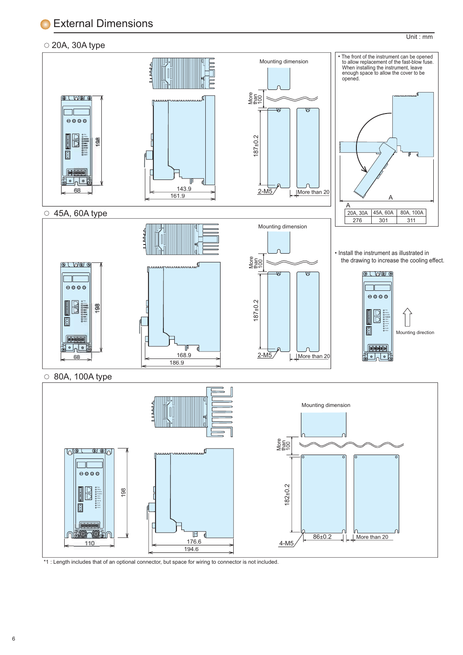<u>External Dimensions</u>

## $\circ$  20A, 30A type



Unit : mm

\*1 : Length includes that of an optional connector, but space for wiring to connector is not included.

 $\frac{1}{04}$ 

<u>1941 - Jan James Barnett, president på senare som s</u>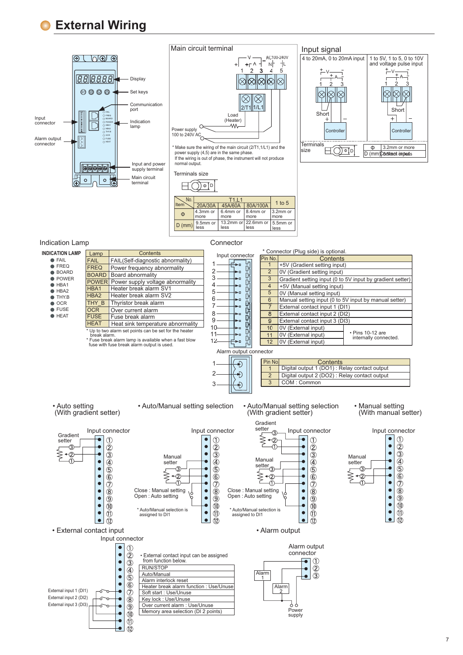### **External Wiring**  $\blacksquare$



## Main circuit terminal



power supply (4,5) are in the same phase.<br>If the wiring is out of phase, the instrument will not produce<br>normal output.







| <b>INDICATION LAMP</b>                   |                     | <b>Contents</b>                                                                         |                                                                             | * Connector (Plug side) is optional.                                  |                                                           |
|------------------------------------------|---------------------|-----------------------------------------------------------------------------------------|-----------------------------------------------------------------------------|-----------------------------------------------------------------------|-----------------------------------------------------------|
| <b>FAIL</b>                              | Lamp<br><b>FAIL</b> | FAIL(Self-diagnostic abnormality)                                                       | Input connector                                                             | Pin No.<br><b>Contents</b>                                            |                                                           |
| $\bullet$ FREQ                           | <b>FREQ</b>         | Power frequency abnormality                                                             | b a                                                                         | $\mathbf{1}$<br>+5V (Gradient setting input)                          |                                                           |
| <b>BOARD</b>                             | <b>BOARD</b>        | Board abnormality                                                                       | C<br>ьп                                                                     | $\overline{2}$<br>0V (Gradient setting input)                         |                                                           |
| $\bullet$ POWER                          |                     |                                                                                         | C<br>3<br>ьo                                                                | 3                                                                     | Gradient setting input (0 to 5V input by gradient setter) |
| $\bullet$ HBA1                           |                     | <b>POWER</b> Power supply voltage abnormality                                           | C<br>b a                                                                    | $\overline{4}$<br>+5V (Manual setting input)                          |                                                           |
| $\bullet$ HBA2                           | HBA1                | Heater break alarm SV1<br>Heater break alarm SV2                                        | C<br>5<br>ьп                                                                | $\overline{5}$<br>0V (Manual setting input)                           |                                                           |
| THY.B                                    | HBA2                |                                                                                         | C<br>6<br>b a                                                               | Manual setting input (0 to 5V input by manual setter)<br>6            |                                                           |
| $\bullet$ OCR                            | THY B               | Thyristor break alarm                                                                   | b a                                                                         | 7<br>External contact input 1 (DI1)                                   |                                                           |
| ● FUSE<br>$\bullet$ HEAT                 | <b>OCR</b>          | Over current alarm                                                                      | 8<br>s.                                                                     | 8<br>External contact input 2 (DI2)                                   |                                                           |
|                                          | <b>FUSE</b>         | Fuse break alarm                                                                        | 9<br>ьn                                                                     | 9<br>External contact input 3 (DI3)                                   |                                                           |
|                                          | <b>HEAT</b>         | Heat sink temperature abnormality                                                       | 10<br>r.                                                                    | 10<br>0V (External input)                                             |                                                           |
|                                          | break alarm.        | * Up to two alarm set points can be set for the heater                                  | 11<br>Þ0                                                                    | 0V (External input)<br>11                                             | • Pins 10-12 are                                          |
|                                          |                     | * Fuse break alarm lamp is available when a fast blow                                   | C<br>12<br>$\bullet$ n                                                      | 12<br>0V (External input)                                             | internally connected.                                     |
|                                          |                     | fuse with fuse break alarm output is used.                                              |                                                                             |                                                                       |                                                           |
|                                          |                     |                                                                                         | Alarm output connector                                                      |                                                                       |                                                           |
|                                          |                     |                                                                                         | Ð                                                                           | Pin No.<br>Contents                                                   |                                                           |
|                                          |                     |                                                                                         |                                                                             | Digital output 1 (DO1) : Relay contact output<br>$\mathbf{1}$         |                                                           |
|                                          |                     |                                                                                         | 2                                                                           | $\overline{2}$<br>Digital output 2 (DO2): Relay contact output        |                                                           |
|                                          |                     |                                                                                         | 3                                                                           | $\overline{3}$<br>COM: Common                                         |                                                           |
|                                          |                     |                                                                                         |                                                                             |                                                                       |                                                           |
| • Auto setting<br>(With gradient setter) |                     | • Auto/Manual setting selection                                                         |                                                                             | • Auto/Manual setting selection<br>(With gradient setter)<br>Gradient | • Manual setting<br>(With manual setter)                  |
|                                          | Input connector     |                                                                                         | Input connector                                                             | setter<br>Input connector                                             |                                                           |
| Gradient                                 |                     |                                                                                         |                                                                             |                                                                       | Input connector                                           |
| setter                                   |                     | (1)                                                                                     | (1)                                                                         | (1)                                                                   | (1)                                                       |
|                                          | $\bar{2}$           |                                                                                         | $\widehat{\mathcal{Z}}$<br>Ο                                                | $\overline{\mathcal{Q}}$                                              | $^{\circledR}$<br>$\bullet$                               |
|                                          |                     | $\circled{3}$<br>Manual                                                                 | $\circledS$                                                                 | $\circled{3}$<br>Manual                                               | $\circled{3}$<br>Manual                                   |
|                                          | $\bullet$           | 4<br>setter                                                                             | $\overline{\textcircled{\textcirc}}}$                                       | $\circledA$<br>setter                                                 | $\circledA$<br>setter                                     |
|                                          | $\bullet$           | $\circledS$<br>3                                                                        | $\overline{5}$                                                              | $\circledS$                                                           | $\bar{\mathbb{S}}$                                        |
|                                          | $\bullet$           | $\circledast$<br>2                                                                      | $\circledast$                                                               | $\overline{6}$<br>2                                                   | $\bar{\textbf{6}}$                                        |
|                                          | $^\circledR$        |                                                                                         | T,                                                                          | A<br>$\circledD$                                                      | $\bullet$<br>$^\circledR$                                 |
|                                          | $\bullet$           | Close: Manual setting<br>$\circledR$                                                    | $\circledR$<br>Close: Manual setting<br>$\bullet$                           | $\circledR$                                                           | $^{\circledR}$<br>$\bullet$                               |
|                                          | $\bullet$           | Open: Auto setting<br>$\circledcirc$                                                    | Open: Auto setting<br>$\overline{9}$<br>$\bullet$                           | (9)                                                                   | $\bar{\textcircled{\small{9}}}$<br>$\bullet$              |
|                                          | $\bullet$           | 10                                                                                      | ⑽                                                                           | 10                                                                    | $\bullet$<br>$^{\circledR}$                               |
|                                          | Ο                   | * Auto/Manual selection is<br>(11)<br>assigned to DI1                                   | * Auto/Manual selection is<br>$\bullet$<br>$\circled{1}$<br>assigned to DI1 | $\bullet$<br>(11)                                                     | $\bullet$<br>$^{\circledR}$                               |
|                                          | $\bullet$           | (12)                                                                                    | $\bullet$<br>12                                                             | $\bullet$<br>12                                                       | $\overline{12}$<br>$\bullet$                              |
| • External contact input                 |                     |                                                                                         |                                                                             | • Alarm output                                                        |                                                           |
|                                          |                     | Input connector                                                                         |                                                                             |                                                                       |                                                           |
|                                          |                     | г<br>O                                                                                  |                                                                             | Alarm output                                                          |                                                           |
|                                          |                     | $\circled{2}$<br>$\bullet$<br>· External contact input can be assigned                  |                                                                             | connector                                                             |                                                           |
|                                          |                     | from function below.<br>$\circled{3}$                                                   |                                                                             | (1)                                                                   |                                                           |
|                                          |                     | RUN/STOP                                                                                |                                                                             | $\circled{2}$                                                         |                                                           |
|                                          |                     | $\circled{4}$<br>Auto/Manual                                                            |                                                                             | Alarm<br>$\breve{\textcircled{\small{3}}}$                            |                                                           |
|                                          |                     | $\circledS$<br>Alarm interlock reset                                                    |                                                                             | 1                                                                     |                                                           |
|                                          |                     | $\circledast$<br>Heater break alarm function : Use/Unuse                                |                                                                             | Alarm                                                                 |                                                           |
| External input 1 (DI1)                   |                     | T<br>Soft start : Use/Unuse                                                             |                                                                             |                                                                       |                                                           |
| External input 2 (DI2)                   |                     | $\circledR$<br>Key lock: Use/Unuse                                                      |                                                                             |                                                                       |                                                           |
| External input 3 (DI3)                   |                     | Over current alarm : Use/Unuse<br>$\circledcirc$<br>Memory area selection (DI 2 points) |                                                                             | 99<br>Power                                                           |                                                           |
|                                          |                     | $\circledcirc$                                                                          |                                                                             | supply                                                                |                                                           |
|                                          |                     | $\overline{\mathbb{D}}$                                                                 |                                                                             |                                                                       |                                                           |
|                                          |                     | Ō<br>$\circled{12}$                                                                     |                                                                             |                                                                       |                                                           |